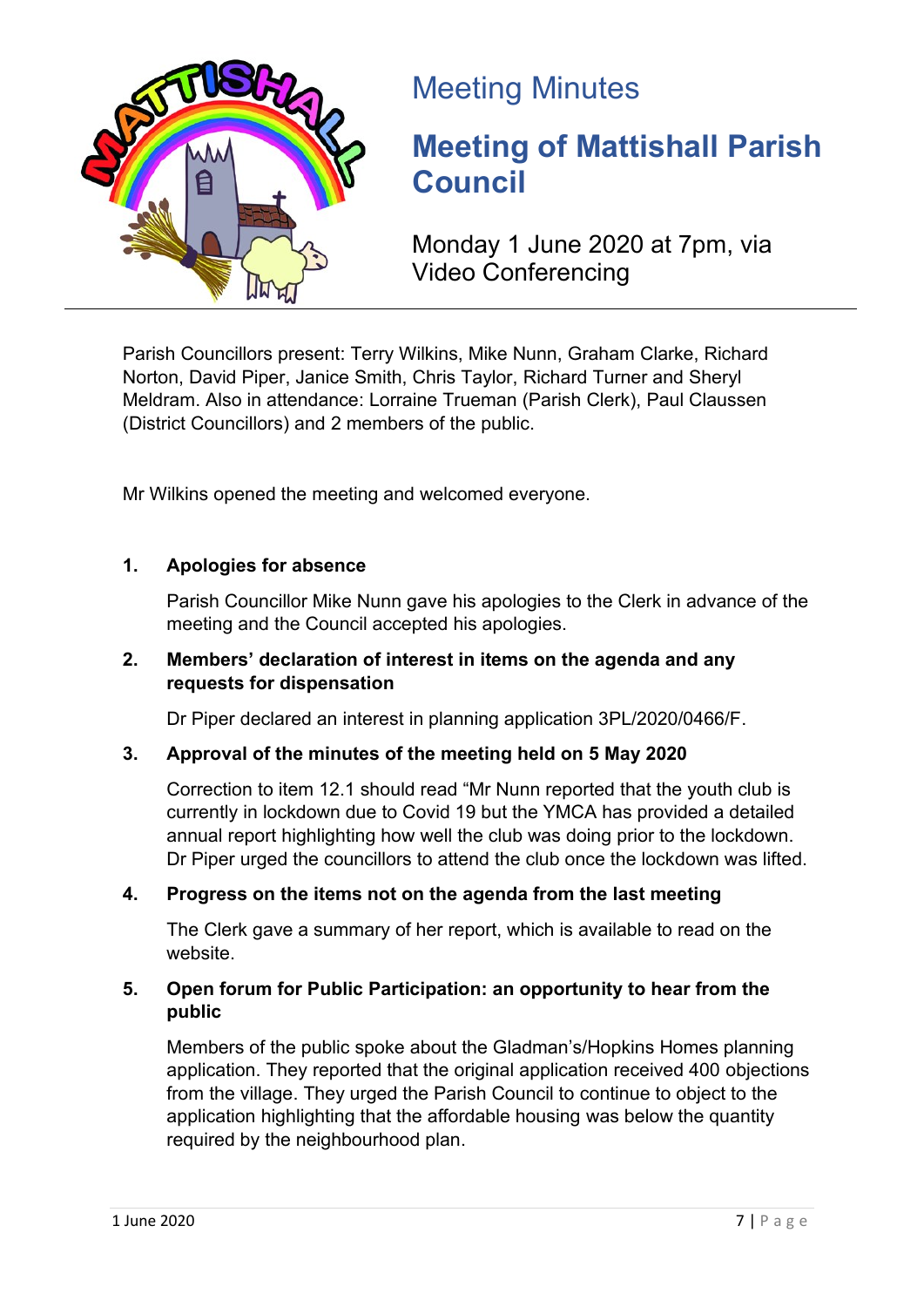

## Meeting Minutes

# **Meeting of Mattishall Parish Council**

Monday 1 June 2020 at 7pm, via Video Conferencing

Parish Councillors present: Terry Wilkins, Mike Nunn, Graham Clarke, Richard Norton, David Piper, Janice Smith, Chris Taylor, Richard Turner and Sheryl Meldram. Also in attendance: Lorraine Trueman (Parish Clerk), Paul Claussen (District Councillors) and 2 members of the public.

Mr Wilkins opened the meeting and welcomed everyone.

## **1. Apologies for absence**

Parish Councillor Mike Nunn gave his apologies to the Clerk in advance of the meeting and the Council accepted his apologies.

## **2. Members' declaration of interest in items on the agenda and any requests for dispensation**

Dr Piper declared an interest in planning application 3PL/2020/0466/F.

## **3. Approval of the minutes of the meeting held on 5 May 2020**

Correction to item 12.1 should read "Mr Nunn reported that the youth club is currently in lockdown due to Covid 19 but the YMCA has provided a detailed annual report highlighting how well the club was doing prior to the lockdown. Dr Piper urged the councillors to attend the club once the lockdown was lifted.

## **4. Progress on the items not on the agenda from the last meeting**

The Clerk gave a summary of her report, which is available to read on the website.

## **5. Open forum for Public Participation: an opportunity to hear from the public**

Members of the public spoke about the Gladman's/Hopkins Homes planning application. They reported that the original application received 400 objections from the village. They urged the Parish Council to continue to object to the application highlighting that the affordable housing was below the quantity required by the neighbourhood plan.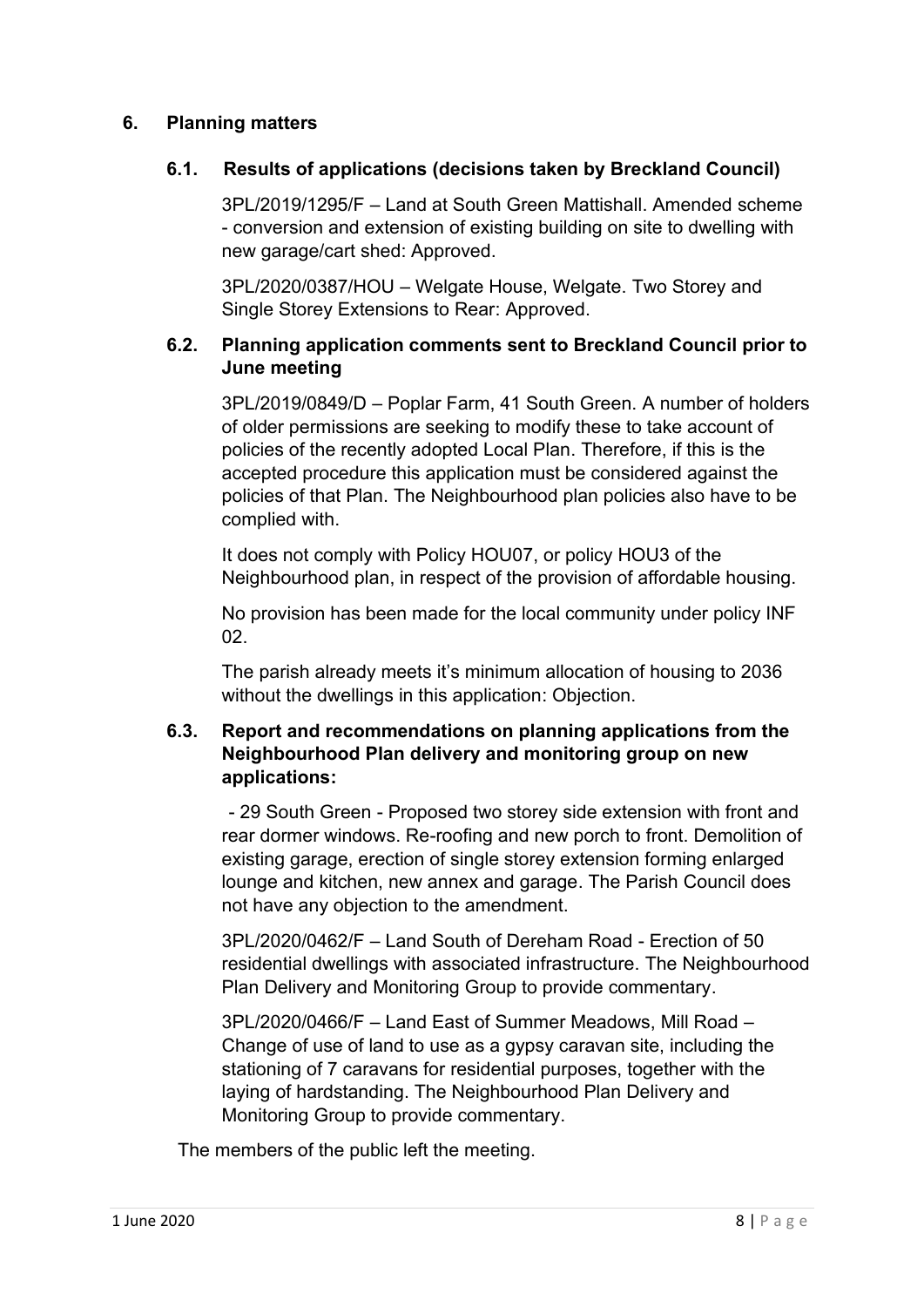#### **6. Planning matters**

#### **6.1. Results of applications (decisions taken by Breckland Council)**

3PL/2019/1295/F – Land at South Green Mattishall. Amended scheme - conversion and extension of existing building on site to dwelling with new garage/cart shed: Approved.

3PL/2020/0387/HOU – Welgate House, Welgate. Two Storey and Single Storey Extensions to Rear: Approved.

## **6.2. Planning application comments sent to Breckland Council prior to June meeting**

3PL/2019/0849/D – Poplar Farm, 41 South Green. A number of holders of older permissions are seeking to modify these to take account of policies of the recently adopted Local Plan. Therefore, if this is the accepted procedure this application must be considered against the policies of that Plan. The Neighbourhood plan policies also have to be complied with.

It does not comply with Policy HOU07, or policy HOU3 of the Neighbourhood plan, in respect of the provision of affordable housing.

No provision has been made for the local community under policy INF 02.

The parish already meets it's minimum allocation of housing to 2036 without the dwellings in this application: Objection.

#### **6.3. Report and recommendations on planning applications from the Neighbourhood Plan delivery and monitoring group on new applications:**

- 29 South Green - Proposed two storey side extension with front and rear dormer windows. Re-roofing and new porch to front. Demolition of existing garage, erection of single storey extension forming enlarged lounge and kitchen, new annex and garage. The Parish Council does not have any objection to the amendment.

3PL/2020/0462/F – Land South of Dereham Road - Erection of 50 residential dwellings with associated infrastructure. The Neighbourhood Plan Delivery and Monitoring Group to provide commentary.

3PL/2020/0466/F – Land East of Summer Meadows, Mill Road – Change of use of land to use as a gypsy caravan site, including the stationing of 7 caravans for residential purposes, together with the laying of hardstanding. The Neighbourhood Plan Delivery and Monitoring Group to provide commentary.

The members of the public left the meeting.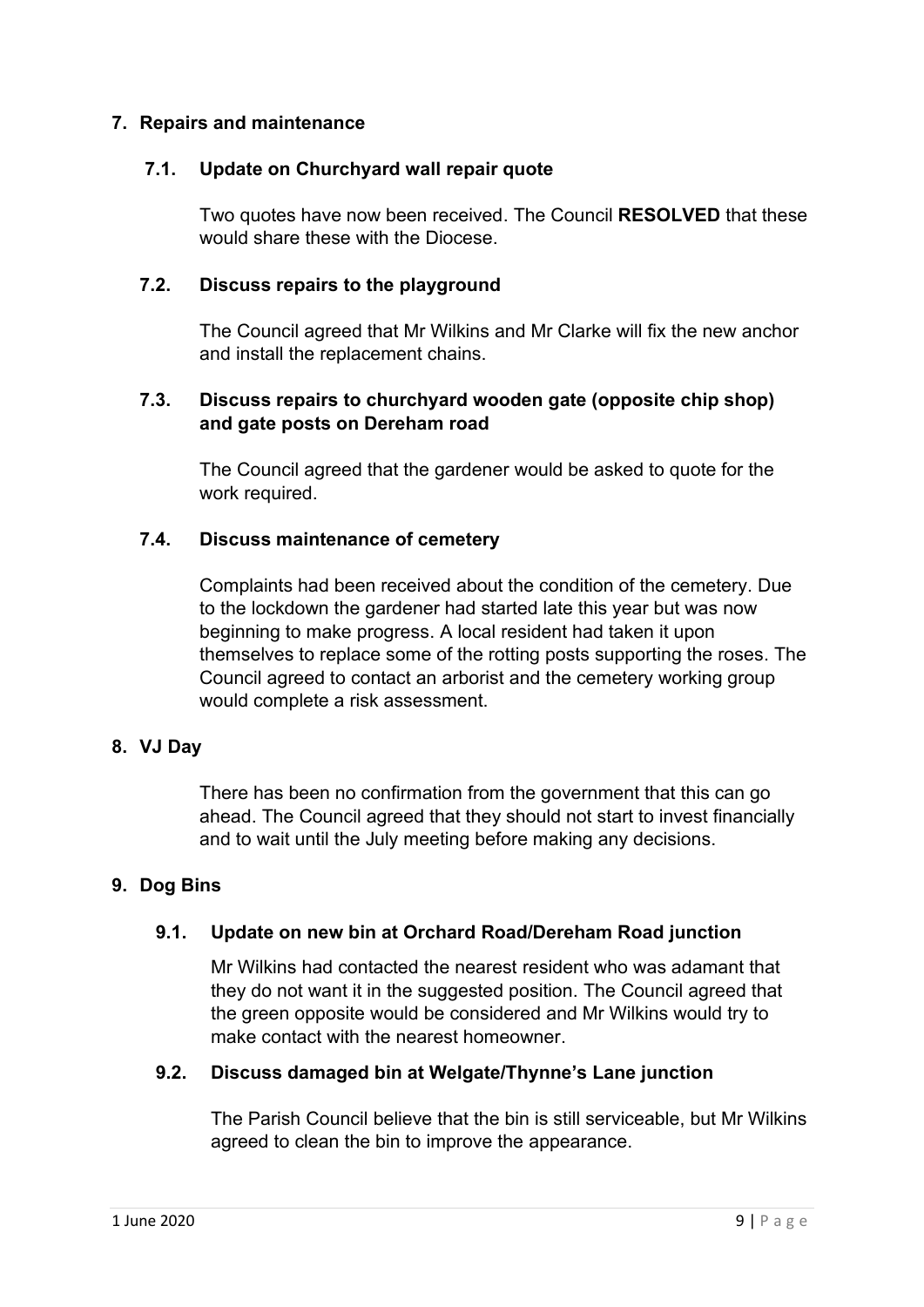#### **7. Repairs and maintenance**

#### **7.1. Update on Churchyard wall repair quote**

Two quotes have now been received. The Council **RESOLVED** that these would share these with the Diocese.

#### **7.2. Discuss repairs to the playground**

The Council agreed that Mr Wilkins and Mr Clarke will fix the new anchor and install the replacement chains.

## **7.3. Discuss repairs to churchyard wooden gate (opposite chip shop) and gate posts on Dereham road**

The Council agreed that the gardener would be asked to quote for the work required.

#### **7.4. Discuss maintenance of cemetery**

Complaints had been received about the condition of the cemetery. Due to the lockdown the gardener had started late this year but was now beginning to make progress. A local resident had taken it upon themselves to replace some of the rotting posts supporting the roses. The Council agreed to contact an arborist and the cemetery working group would complete a risk assessment.

#### **8. VJ Day**

There has been no confirmation from the government that this can go ahead. The Council agreed that they should not start to invest financially and to wait until the July meeting before making any decisions.

#### **9. Dog Bins**

## **9.1. Update on new bin at Orchard Road/Dereham Road junction**

Mr Wilkins had contacted the nearest resident who was adamant that they do not want it in the suggested position. The Council agreed that the green opposite would be considered and Mr Wilkins would try to make contact with the nearest homeowner.

#### **9.2. Discuss damaged bin at Welgate/Thynne's Lane junction**

The Parish Council believe that the bin is still serviceable, but Mr Wilkins agreed to clean the bin to improve the appearance.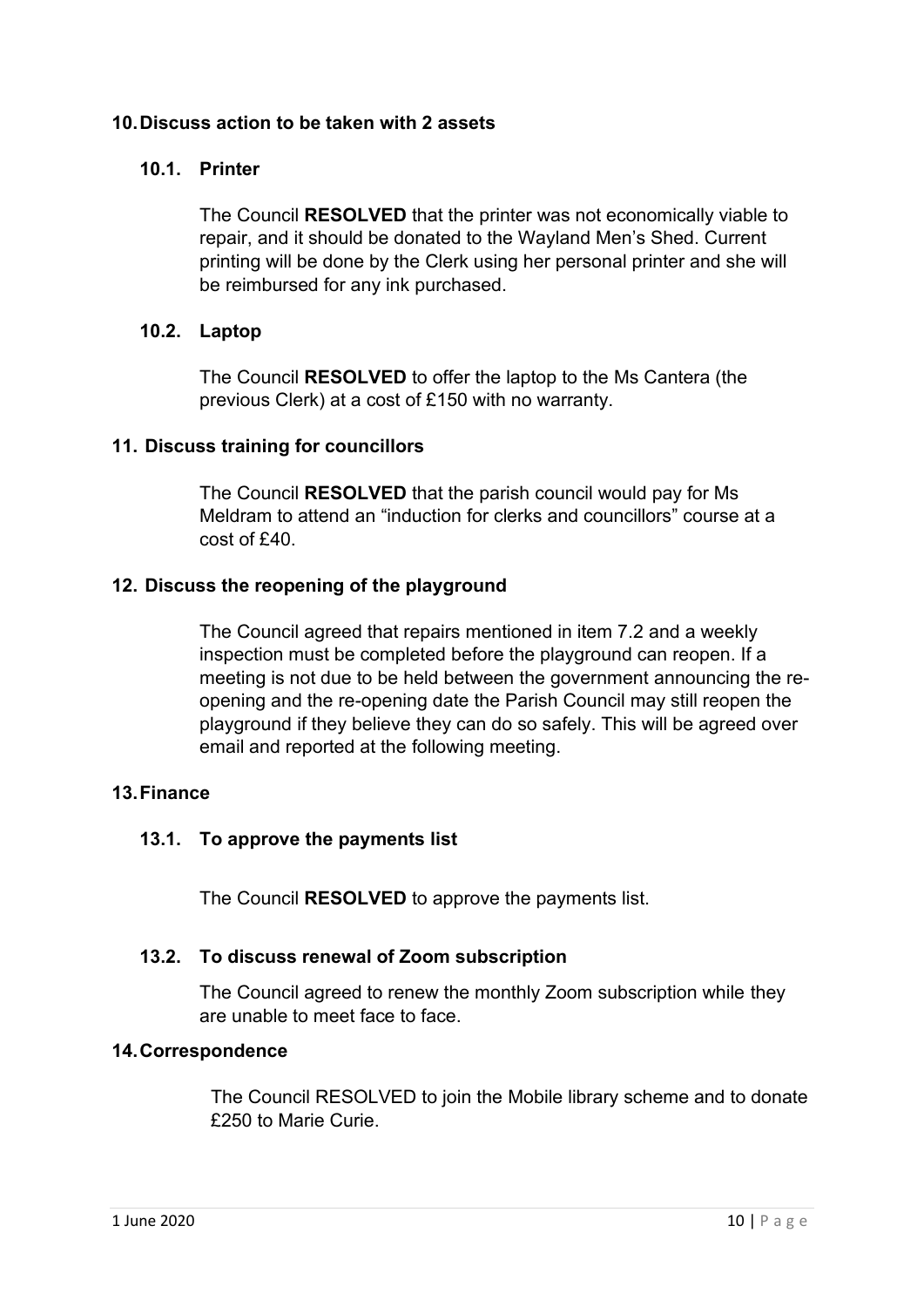#### **10.Discuss action to be taken with 2 assets**

#### **10.1. Printer**

The Council **RESOLVED** that the printer was not economically viable to repair, and it should be donated to the Wayland Men's Shed. Current printing will be done by the Clerk using her personal printer and she will be reimbursed for any ink purchased.

#### **10.2. Laptop**

The Council **RESOLVED** to offer the laptop to the Ms Cantera (the previous Clerk) at a cost of £150 with no warranty.

#### **11. Discuss training for councillors**

The Council **RESOLVED** that the parish council would pay for Ms Meldram to attend an "induction for clerks and councillors" course at a cost of £40.

#### **12. Discuss the reopening of the playground**

The Council agreed that repairs mentioned in item 7.2 and a weekly inspection must be completed before the playground can reopen. If a meeting is not due to be held between the government announcing the reopening and the re-opening date the Parish Council may still reopen the playground if they believe they can do so safely. This will be agreed over email and reported at the following meeting.

#### **13.Finance**

## **13.1. To approve the payments list**

The Council **RESOLVED** to approve the payments list.

#### **13.2. To discuss renewal of Zoom subscription**

The Council agreed to renew the monthly Zoom subscription while they are unable to meet face to face.

#### **14.Correspondence**

The Council RESOLVED to join the Mobile library scheme and to donate £250 to Marie Curie.